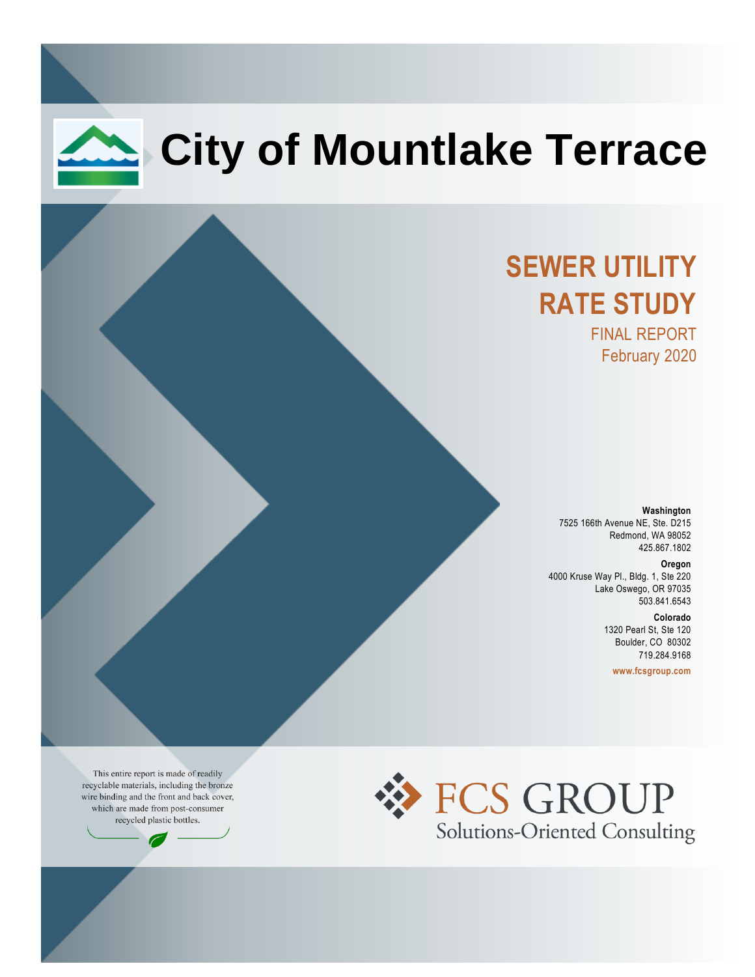**City of Mountlake Terrace**

## **SEWER UTILITY RATE STUDY**

FINAL REPORT February 2020

**Washington** 7525 166th Avenue NE, Ste. D215 Redmond, WA 98052 425.867.1802

#### **Oregon** 4000 Kruse Way Pl., Bldg. 1, Ste 220 Lake Oswego, OR 97035 503.841.6543

#### **Colorado**

1320 Pearl St, Ste 120 Boulder, CO 80302 719.284.9168

**www.fcsgroup.com**



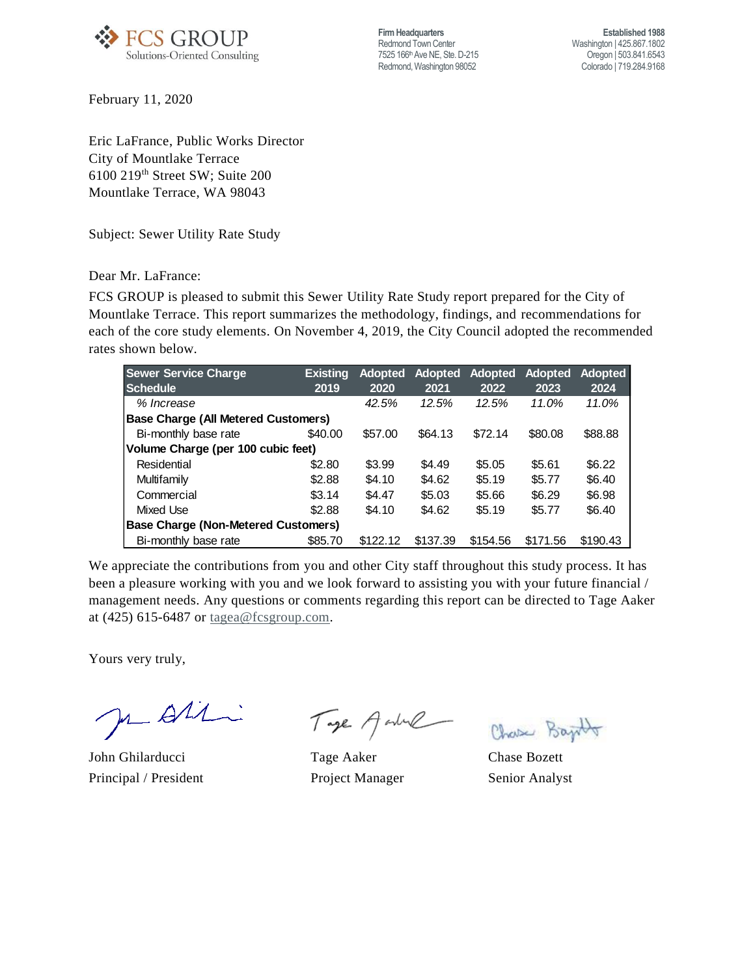

**Firm Headquarters** Redmond Town Center 7525 166th Ave NE, Ste. D-215 Redmond, Washington 98052

**Established 1988** Washington | 425.867.1802 Oregon | 503.841.6543 Colorado | 719.284.9168

February 11, 2020

Eric LaFrance, Public Works Director City of Mountlake Terrace 6100 219th Street SW; Suite 200 Mountlake Terrace, WA 98043

Subject: Sewer Utility Rate Study

Dear Mr. LaFrance:

FCS GROUP is pleased to submit this Sewer Utility Rate Study report prepared for the City of Mountlake Terrace. This report summarizes the methodology, findings, and recommendations for each of the core study elements. On November 4, 2019, the City Council adopted the recommended rates shown below.

| <b>Sewer Service Charge</b>                | <b>Existing</b>                            | <b>Adopted</b> | <b>Adopted</b> | <b>Adopted</b> | <b>Adopted</b> | <b>Adopted</b> |  |  |  |  |  |
|--------------------------------------------|--------------------------------------------|----------------|----------------|----------------|----------------|----------------|--|--|--|--|--|
| <b>Schedule</b>                            | 2019                                       | 2020           | 2021           | 2022           | 2023           | 2024           |  |  |  |  |  |
| % Increase                                 |                                            | 42.5%          | 12.5%          | 12.5%          | 11.0%          | 11.0%          |  |  |  |  |  |
| <b>Base Charge (All Metered Customers)</b> |                                            |                |                |                |                |                |  |  |  |  |  |
| Bi-monthly base rate                       | \$40.00                                    | \$57.00        | \$64.13        | \$72.14        | \$80.08        | \$88.88        |  |  |  |  |  |
| Volume Charge (per 100 cubic feet)         |                                            |                |                |                |                |                |  |  |  |  |  |
| Residential                                | \$2.80                                     | \$3.99         | \$4.49         | \$5.05         | \$5.61         | \$6.22         |  |  |  |  |  |
| Multifamily                                | \$2.88                                     | \$4.10         | \$4.62         | \$5.19         | \$5.77         | \$6.40         |  |  |  |  |  |
| Commercial                                 | \$3.14                                     | \$4.47         | \$5.03         | \$5.66         | \$6.29         | \$6.98         |  |  |  |  |  |
| Mixed Use                                  | \$2.88                                     | \$4.10         | \$4.62         | \$5.19         | \$5.77         | \$6.40         |  |  |  |  |  |
|                                            | <b>Base Charge (Non-Metered Customers)</b> |                |                |                |                |                |  |  |  |  |  |
| Bi-monthly base rate                       | \$85.70                                    | \$122.12       | \$137.39       | \$154.56       | \$171.56       | \$190.43       |  |  |  |  |  |

We appreciate the contributions from you and other City staff throughout this study process. It has been a pleasure working with you and we look forward to assisting you with your future financial / management needs. Any questions or comments regarding this report can be directed to Tage Aaker at (425) 615-6487 or [tagea@fcsgroup.com.](mailto:tagea@fcsgroup.com)

Yours very truly,

matili

John Ghilarducci Tage Aaker Chase Bozett Principal / President Project Manager Senior Analyst

Tage Andre

Chase Baptly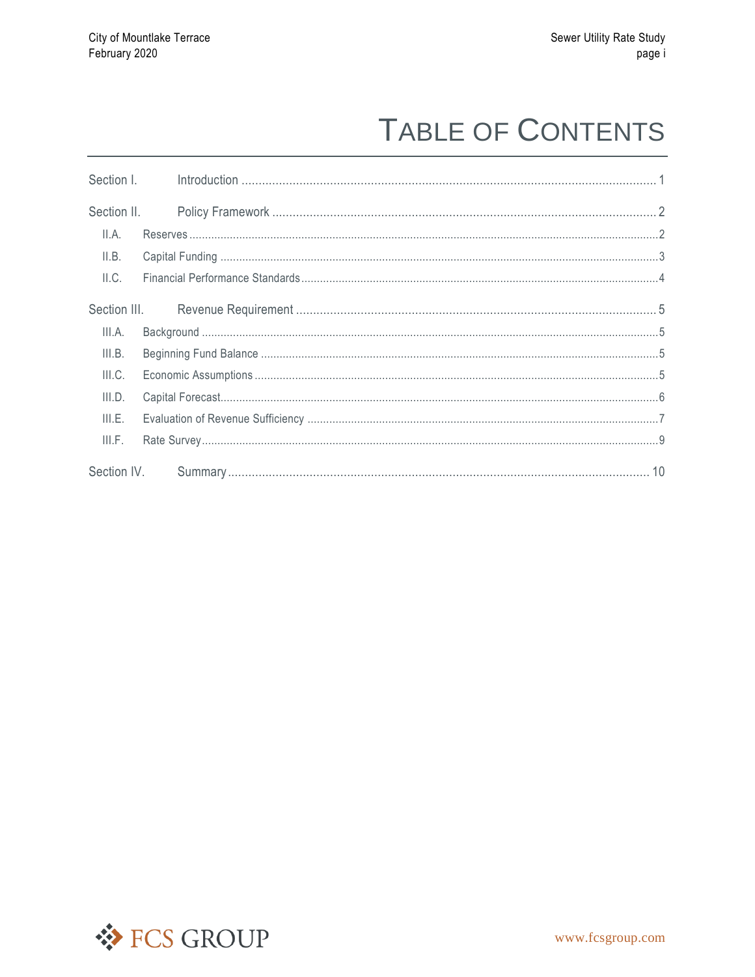# TABLE OF CONTENTS

| Section I.   |  |
|--------------|--|
| Section II.  |  |
| II.A.        |  |
| II.B.        |  |
| ILC.         |  |
| Section III. |  |
| III.A.       |  |
| III.B.       |  |
| III.C.       |  |
| III.D.       |  |
| III.E.       |  |
| III.F.       |  |
| Section IV.  |  |

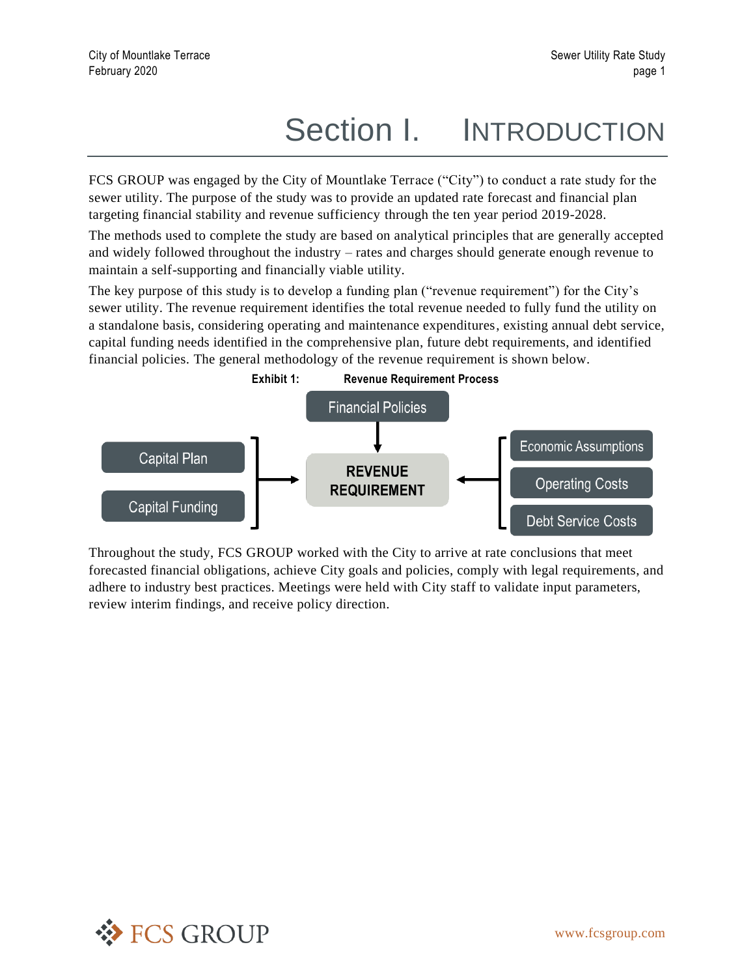# Section I. INTRODUCTION

<span id="page-3-0"></span>FCS GROUP was engaged by the City of Mountlake Terrace ("City") to conduct a rate study for the sewer utility. The purpose of the study was to provide an updated rate forecast and financial plan targeting financial stability and revenue sufficiency through the ten year period 2019-2028.

The methods used to complete the study are based on analytical principles that are generally accepted and widely followed throughout the industry – rates and charges should generate enough revenue to maintain a self-supporting and financially viable utility.

The key purpose of this study is to develop a funding plan ("revenue requirement") for the City's sewer utility. The revenue requirement identifies the total revenue needed to fully fund the utility on a standalone basis, considering operating and maintenance expenditures, existing annual debt service, capital funding needs identified in the comprehensive plan, future debt requirements, and identified financial policies. The general methodology of the revenue requirement is shown below.



Throughout the study, FCS GROUP worked with the City to arrive at rate conclusions that meet forecasted financial obligations, achieve City goals and policies, comply with legal requirements, and adhere to industry best practices. Meetings were held with City staff to validate input parameters, review interim findings, and receive policy direction.

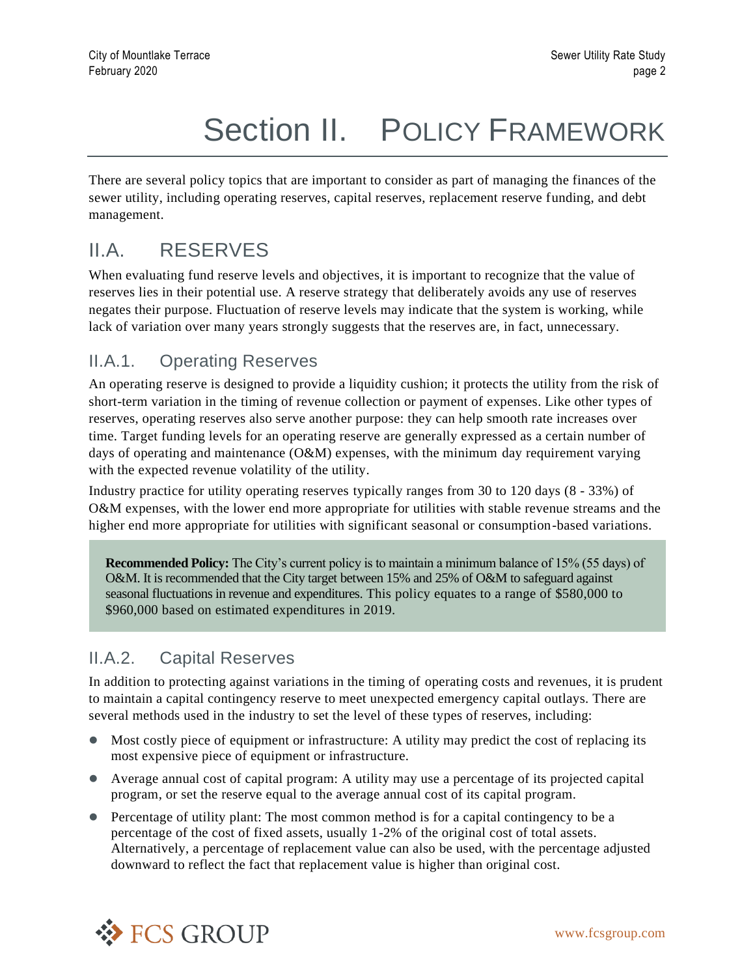# Section II. POLICY FRAMEWORK

<span id="page-4-0"></span>There are several policy topics that are important to consider as part of managing the finances of the sewer utility, including operating reserves, capital reserves, replacement reserve funding, and debt management.

### <span id="page-4-1"></span>II.A. RESERVES

When evaluating fund reserve levels and objectives, it is important to recognize that the value of reserves lies in their potential use. A reserve strategy that deliberately avoids any use of reserves negates their purpose. Fluctuation of reserve levels may indicate that the system is working, while lack of variation over many years strongly suggests that the reserves are, in fact, unnecessary.

#### II.A.1. Operating Reserves

An operating reserve is designed to provide a liquidity cushion; it protects the utility from the risk of short-term variation in the timing of revenue collection or payment of expenses. Like other types of reserves, operating reserves also serve another purpose: they can help smooth rate increases over time. Target funding levels for an operating reserve are generally expressed as a certain number of days of operating and maintenance (O&M) expenses, with the minimum day requirement varying with the expected revenue volatility of the utility.

Industry practice for utility operating reserves typically ranges from 30 to 120 days (8 - 33%) of O&M expenses, with the lower end more appropriate for utilities with stable revenue streams and the higher end more appropriate for utilities with significant seasonal or consumption-based variations.

**Recommended Policy:** The City's current policy is to maintain a minimum balance of 15% (55 days) of O&M. It is recommended that the City target between 15% and 25% of O&M to safeguard against seasonal fluctuations in revenue and expenditures. This policy equates to a range of \$580,000 to \$960,000 based on estimated expenditures in 2019.

#### II.A.2. Capital Reserves

In addition to protecting against variations in the timing of operating costs and revenues, it is prudent to maintain a capital contingency reserve to meet unexpected emergency capital outlays. There are several methods used in the industry to set the level of these types of reserves, including:

- ⚫ Most costly piece of equipment or infrastructure: A utility may predict the cost of replacing its most expensive piece of equipment or infrastructure.
- ⚫ Average annual cost of capital program: A utility may use a percentage of its projected capital program, or set the reserve equal to the average annual cost of its capital program.
- ⚫ Percentage of utility plant: The most common method is for a capital contingency to be a percentage of the cost of fixed assets, usually 1-2% of the original cost of total assets. Alternatively, a percentage of replacement value can also be used, with the percentage adjusted downward to reflect the fact that replacement value is higher than original cost.

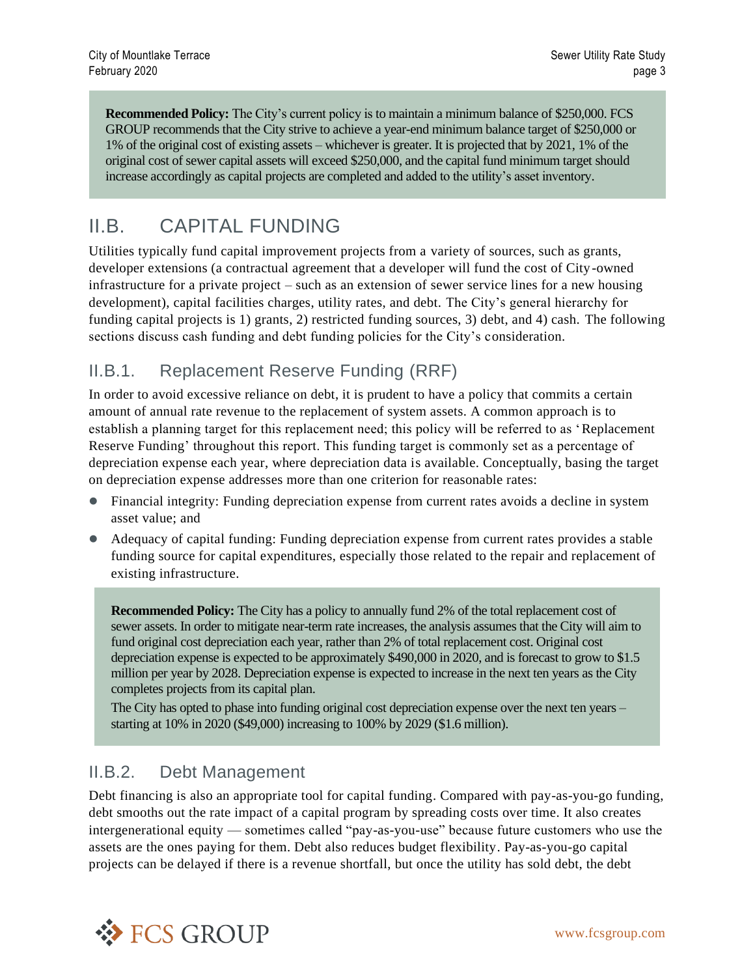**Recommended Policy:** The City's current policy is to maintain a minimum balance of \$250,000. FCS GROUP recommends that the City strive to achieve a year-end minimum balance target of \$250,000 or 1% of the original cost of existing assets – whichever is greater. It is projected that by 2021, 1% of the original cost of sewer capital assets will exceed \$250,000, and the capital fund minimum target should increase accordingly as capital projects are completed and added to the utility's asset inventory.

### <span id="page-5-0"></span>II.B. CAPITAL FUNDING

Utilities typically fund capital improvement projects from a variety of sources, such as grants, developer extensions (a contractual agreement that a developer will fund the cost of City-owned infrastructure for a private project – such as an extension of sewer service lines for a new housing development), capital facilities charges, utility rates, and debt. The City's general hierarchy for funding capital projects is 1) grants, 2) restricted funding sources, 3) debt, and 4) cash. The following sections discuss cash funding and debt funding policies for the City's consideration.

#### II.B.1. Replacement Reserve Funding (RRF)

In order to avoid excessive reliance on debt, it is prudent to have a policy that commits a certain amount of annual rate revenue to the replacement of system assets. A common approach is to establish a planning target for this replacement need; this policy will be referred to as 'Replacement Reserve Funding' throughout this report. This funding target is commonly set as a percentage of depreciation expense each year, where depreciation data is available. Conceptually, basing the target on depreciation expense addresses more than one criterion for reasonable rates:

- ⚫ Financial integrity: Funding depreciation expense from current rates avoids a decline in system asset value; and
- ⚫ Adequacy of capital funding: Funding depreciation expense from current rates provides a stable funding source for capital expenditures, especially those related to the repair and replacement of existing infrastructure.

**Recommended Policy:** The City has a policy to annually fund 2% of the total replacement cost of sewer assets. In order to mitigate near-term rate increases, the analysis assumes that the City will aim to fund original cost depreciation each year, rather than 2% of total replacement cost. Original cost depreciation expense is expected to be approximately \$490,000 in 2020, and is forecast to grow to \$1.5 million per year by 2028. Depreciation expense is expected to increase in the next ten years as the City completes projects from its capital plan.

The City has opted to phase into funding original cost depreciation expense over the next ten years – starting at 10% in 2020 (\$49,000) increasing to 100% by 2029 (\$1.6 million).

#### II.B.2. Debt Management

Debt financing is also an appropriate tool for capital funding. Compared with pay-as-you-go funding, debt smooths out the rate impact of a capital program by spreading costs over time. It also creates intergenerational equity — sometimes called "pay-as-you-use" because future customers who use the assets are the ones paying for them. Debt also reduces budget flexibility. Pay-as-you-go capital projects can be delayed if there is a revenue shortfall, but once the utility has sold debt, the debt

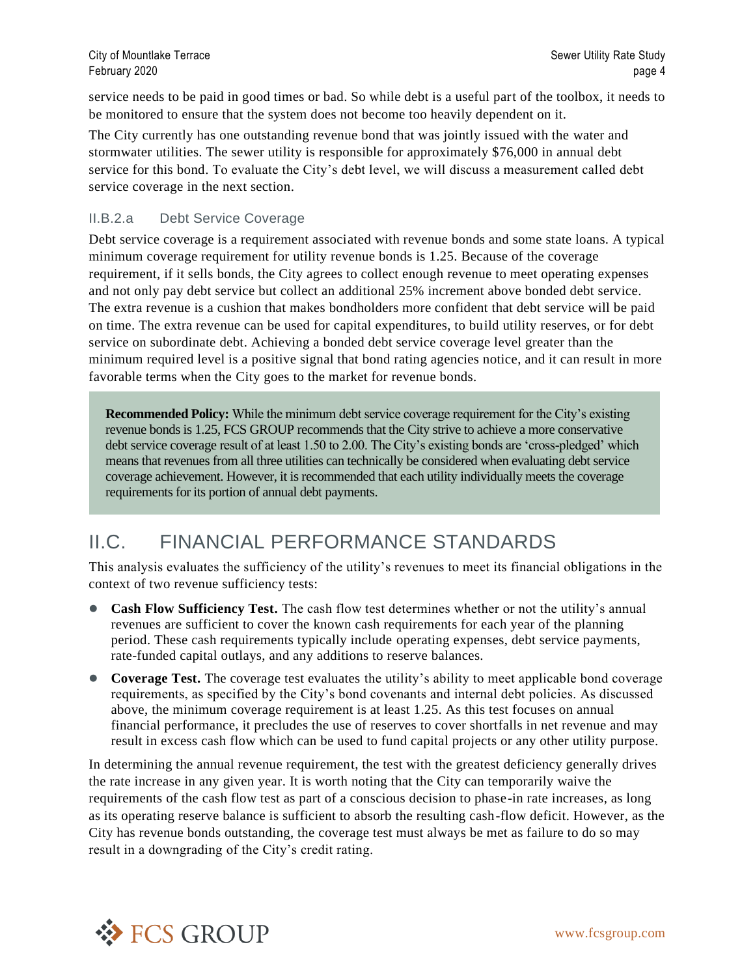City of Mountlake Terrace **Server City** City of Mountlake Terrace Sewer Utility Rate Study February 2020 page 4

service needs to be paid in good times or bad. So while debt is a useful part of the toolbox, it needs to be monitored to ensure that the system does not become too heavily dependent on it.

The City currently has one outstanding revenue bond that was jointly issued with the water and stormwater utilities. The sewer utility is responsible for approximately \$76,000 in annual debt service for this bond. To evaluate the City's debt level, we will discuss a measurement called debt service coverage in the next section.

#### II.B.2.a Debt Service Coverage

Debt service coverage is a requirement associated with revenue bonds and some state loans. A typical minimum coverage requirement for utility revenue bonds is 1.25. Because of the coverage requirement, if it sells bonds, the City agrees to collect enough revenue to meet operating expenses and not only pay debt service but collect an additional 25% increment above bonded debt service. The extra revenue is a cushion that makes bondholders more confident that debt service will be paid on time. The extra revenue can be used for capital expenditures, to build utility reserves, or for debt service on subordinate debt. Achieving a bonded debt service coverage level greater than the minimum required level is a positive signal that bond rating agencies notice, and it can result in more favorable terms when the City goes to the market for revenue bonds.

**Recommended Policy:** While the minimum debt service coverage requirement for the City's existing revenue bonds is 1.25, FCS GROUP recommends that the City strive to achieve a more conservative debt service coverage result of at least 1.50 to 2.00. The City's existing bonds are 'cross-pledged' which means that revenues from all three utilities can technically be considered when evaluating debt service coverage achievement. However, it is recommended that each utility individually meets the coverage requirements for its portion of annual debt payments.

#### <span id="page-6-0"></span>II.C. FINANCIAL PERFORMANCE STANDARDS

This analysis evaluates the sufficiency of the utility's revenues to meet its financial obligations in the context of two revenue sufficiency tests:

- ⚫ **Cash Flow Sufficiency Test.** The cash flow test determines whether or not the utility's annual revenues are sufficient to cover the known cash requirements for each year of the planning period. These cash requirements typically include operating expenses, debt service payments, rate-funded capital outlays, and any additions to reserve balances.
- **Coverage Test.** The coverage test evaluates the utility's ability to meet applicable bond coverage requirements, as specified by the City's bond covenants and internal debt policies. As discussed above, the minimum coverage requirement is at least 1.25. As this test focuses on annual financial performance, it precludes the use of reserves to cover shortfalls in net revenue and may result in excess cash flow which can be used to fund capital projects or any other utility purpose.

In determining the annual revenue requirement, the test with the greatest deficiency generally drives the rate increase in any given year. It is worth noting that the City can temporarily waive the requirements of the cash flow test as part of a conscious decision to phase-in rate increases, as long as its operating reserve balance is sufficient to absorb the resulting cash-flow deficit. However, as the City has revenue bonds outstanding, the coverage test must always be met as failure to do so may result in a downgrading of the City's credit rating.

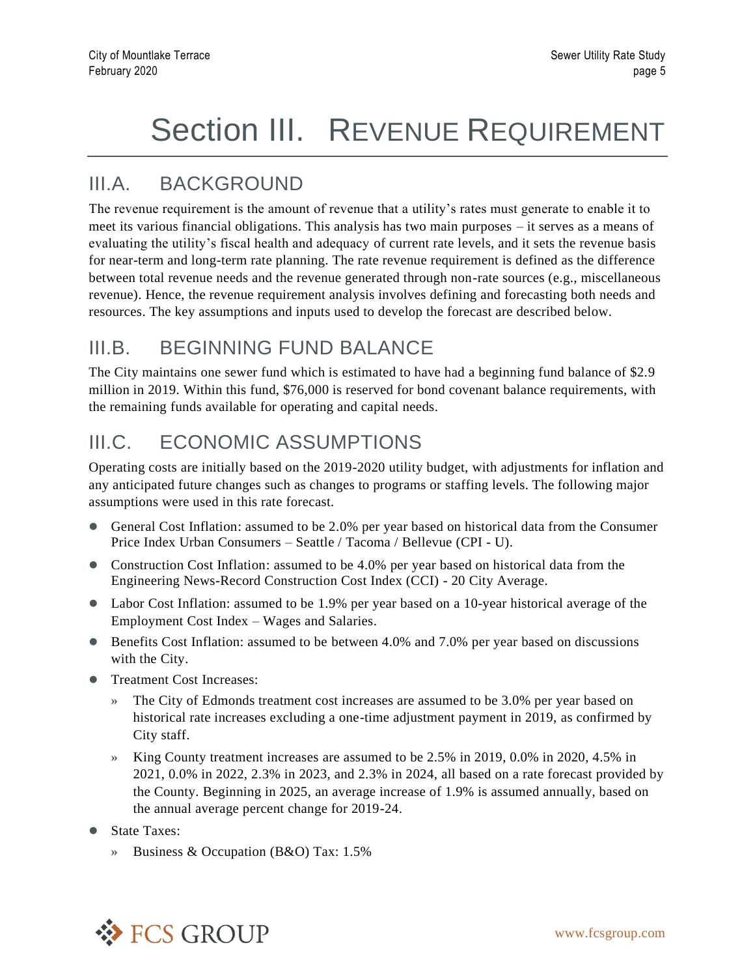# <span id="page-7-0"></span>Section III. REVENUE REQUIREMENT

### <span id="page-7-1"></span>III.A. BACKGROUND

The revenue requirement is the amount of revenue that a utility's rates must generate to enable it to meet its various financial obligations. This analysis has two main purposes – it serves as a means of evaluating the utility's fiscal health and adequacy of current rate levels, and it sets the revenue basis for near-term and long-term rate planning. The rate revenue requirement is defined as the difference between total revenue needs and the revenue generated through non-rate sources (e.g., miscellaneous revenue). Hence, the revenue requirement analysis involves defining and forecasting both needs and resources. The key assumptions and inputs used to develop the forecast are described below.

### <span id="page-7-2"></span>III.B. BEGINNING FUND BALANCE

The City maintains one sewer fund which is estimated to have had a beginning fund balance of \$2.9 million in 2019. Within this fund, \$76,000 is reserved for bond covenant balance requirements, with the remaining funds available for operating and capital needs.

## <span id="page-7-3"></span>III.C. ECONOMIC ASSUMPTIONS

Operating costs are initially based on the 2019-2020 utility budget, with adjustments for inflation and any anticipated future changes such as changes to programs or staffing levels. The following major assumptions were used in this rate forecast.

- General Cost Inflation: assumed to be 2.0% per year based on historical data from the Consumer Price Index Urban Consumers – Seattle / Tacoma / Bellevue (CPI - U).
- Construction Cost Inflation: assumed to be 4.0% per year based on historical data from the Engineering News-Record Construction Cost Index (CCI) - 20 City Average.
- Labor Cost Inflation: assumed to be 1.9% per year based on a 10-year historical average of the Employment Cost Index – Wages and Salaries.
- Benefits Cost Inflation: assumed to be between 4.0% and 7.0% per year based on discussions with the City.
- Treatment Cost Increases:
	- **»** The City of Edmonds treatment cost increases are assumed to be 3.0% per year based on historical rate increases excluding a one-time adjustment payment in 2019, as confirmed by City staff.
	- **»** King County treatment increases are assumed to be 2.5% in 2019, 0.0% in 2020, 4.5% in 2021, 0.0% in 2022, 2.3% in 2023, and 2.3% in 2024, all based on a rate forecast provided by the County. Beginning in 2025, an average increase of 1.9% is assumed annually, based on the annual average percent change for 2019-24.
- State Taxes:
	- **»** Business & Occupation (B&O) Tax: 1.5%

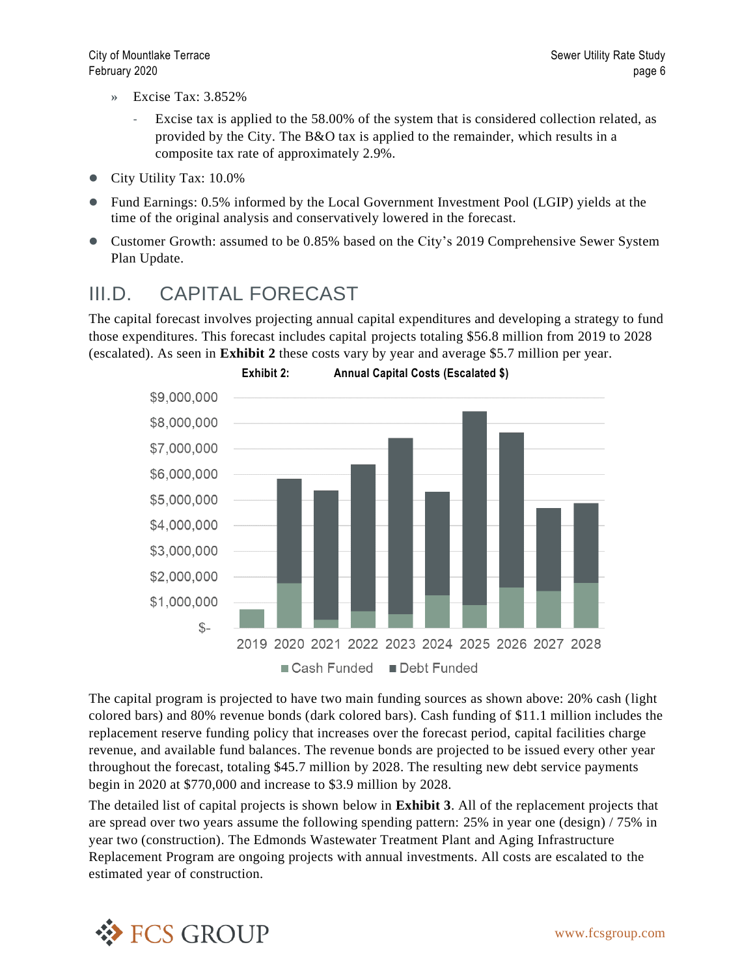- **»** Excise Tax: 3.852%
	- Excise tax is applied to the 58.00% of the system that is considered collection related, as provided by the City. The B&O tax is applied to the remainder, which results in a composite tax rate of approximately 2.9%.
- City Utility Tax: 10.0%
- Fund Earnings: 0.5% informed by the Local Government Investment Pool (LGIP) yields at the time of the original analysis and conservatively lowered in the forecast.
- Customer Growth: assumed to be 0.85% based on the City's 2019 Comprehensive Sewer System Plan Update.

### <span id="page-8-0"></span>III.D. CAPITAL FORECAST

The capital forecast involves projecting annual capital expenditures and developing a strategy to fund those expenditures. This forecast includes capital projects totaling \$56.8 million from 2019 to 2028 (escalated). As seen in **Exhibit 2** these costs vary by year and average \$5.7 million per year.



The capital program is projected to have two main funding sources as shown above: 20% cash (light colored bars) and 80% revenue bonds (dark colored bars). Cash funding of \$11.1 million includes the replacement reserve funding policy that increases over the forecast period, capital facilities charge revenue, and available fund balances. The revenue bonds are projected to be issued every other year throughout the forecast, totaling \$45.7 million by 2028. The resulting new debt service payments begin in 2020 at \$770,000 and increase to \$3.9 million by 2028.

The detailed list of capital projects is shown below in **Exhibit 3**. All of the replacement projects that are spread over two years assume the following spending pattern: 25% in year one (design) / 75% in year two (construction). The Edmonds Wastewater Treatment Plant and Aging Infrastructure Replacement Program are ongoing projects with annual investments. All costs are escalated to the estimated year of construction.

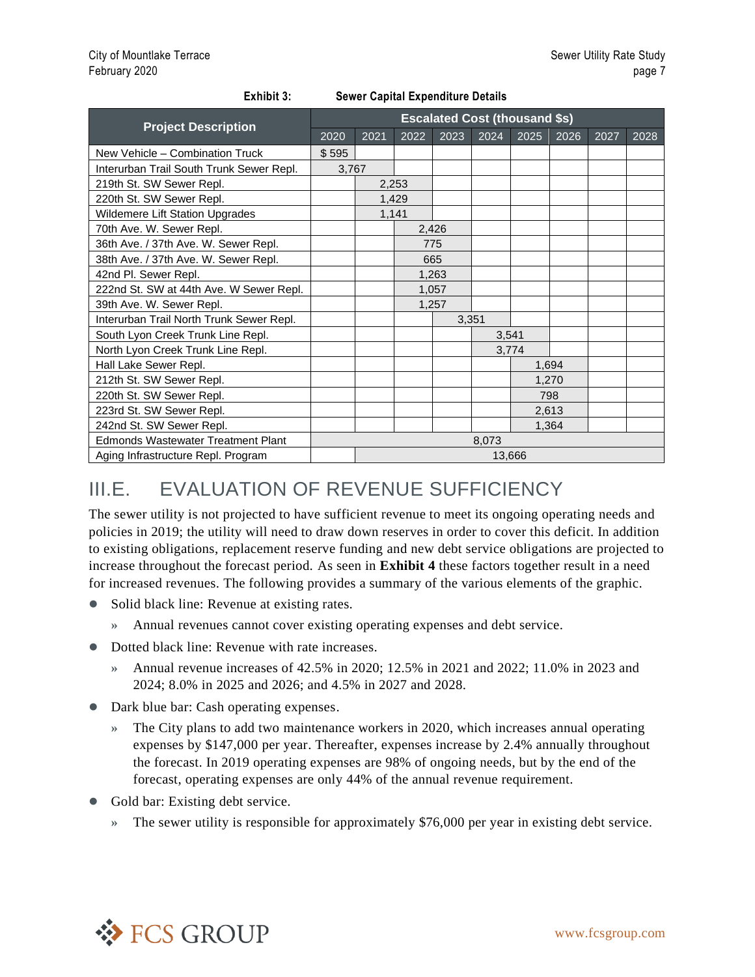| <b>Project Description</b>                |       | <b>Escalated Cost (thousand \$s)</b> |       |       |       |        |       |      |      |  |  |  |
|-------------------------------------------|-------|--------------------------------------|-------|-------|-------|--------|-------|------|------|--|--|--|
|                                           | 2020  | 2021                                 | 2022  | 2023  | 2024  | 2025   | 2026  | 2027 | 2028 |  |  |  |
| New Vehicle - Combination Truck           | \$595 |                                      |       |       |       |        |       |      |      |  |  |  |
| Interurban Trail South Trunk Sewer Repl.  | 3,767 |                                      |       |       |       |        |       |      |      |  |  |  |
| 219th St. SW Sewer Repl.                  |       |                                      | 2,253 |       |       |        |       |      |      |  |  |  |
| 220th St. SW Sewer Repl.                  |       |                                      | 1,429 |       |       |        |       |      |      |  |  |  |
| <b>Wildemere Lift Station Upgrades</b>    |       |                                      | 1,141 |       |       |        |       |      |      |  |  |  |
| 70th Ave. W. Sewer Repl.                  |       |                                      |       | 2,426 |       |        |       |      |      |  |  |  |
| 36th Ave. / 37th Ave. W. Sewer Repl.      |       |                                      |       | 775   |       |        |       |      |      |  |  |  |
| 38th Ave. / 37th Ave. W. Sewer Repl.      |       | 665                                  |       |       |       |        |       |      |      |  |  |  |
| 42nd Pl. Sewer Repl.                      |       | 1,263                                |       |       |       |        |       |      |      |  |  |  |
| 222nd St. SW at 44th Ave. W Sewer Repl.   |       |                                      |       | 1,057 |       |        |       |      |      |  |  |  |
| 39th Ave. W. Sewer Repl.                  |       |                                      |       | 1,257 |       |        |       |      |      |  |  |  |
| Interurban Trail North Trunk Sewer Repl.  |       |                                      |       |       | 3,351 |        |       |      |      |  |  |  |
| South Lyon Creek Trunk Line Repl.         |       |                                      |       |       |       | 3,541  |       |      |      |  |  |  |
| North Lyon Creek Trunk Line Repl.         |       |                                      |       |       |       | 3,774  |       |      |      |  |  |  |
| Hall Lake Sewer Repl.                     |       |                                      |       |       |       |        | 1,694 |      |      |  |  |  |
| 212th St. SW Sewer Repl.                  |       |                                      |       |       |       | 1,270  |       |      |      |  |  |  |
| 220th St. SW Sewer Repl.                  |       |                                      |       |       |       | 798    |       |      |      |  |  |  |
| 223rd St. SW Sewer Repl.                  |       |                                      |       |       |       | 2,613  |       |      |      |  |  |  |
| 242nd St. SW Sewer Repl.                  |       |                                      |       |       |       |        | 1,364 |      |      |  |  |  |
| <b>Edmonds Wastewater Treatment Plant</b> |       |                                      |       |       | 8,073 |        |       |      |      |  |  |  |
| Aging Infrastructure Repl. Program        |       |                                      |       |       |       | 13,666 |       |      |      |  |  |  |

#### **Exhibit 3: Sewer Capital Expenditure Details**

### <span id="page-9-0"></span>III.E. EVALUATION OF REVENUE SUFFICIENCY

The sewer utility is not projected to have sufficient revenue to meet its ongoing operating needs and policies in 2019; the utility will need to draw down reserves in order to cover this deficit. In addition to existing obligations, replacement reserve funding and new debt service obligations are projected to increase throughout the forecast period. As seen in **Exhibit 4** these factors together result in a need for increased revenues. The following provides a summary of the various elements of the graphic.

- ⚫ Solid black line: Revenue at existing rates.
	- **»** Annual revenues cannot cover existing operating expenses and debt service.
- Dotted black line: Revenue with rate increases.
	- **»** Annual revenue increases of 42.5% in 2020; 12.5% in 2021 and 2022; 11.0% in 2023 and 2024; 8.0% in 2025 and 2026; and 4.5% in 2027 and 2028.
- Dark blue bar: Cash operating expenses.
	- **»** The City plans to add two maintenance workers in 2020, which increases annual operating expenses by \$147,000 per year. Thereafter, expenses increase by 2.4% annually throughout the forecast. In 2019 operating expenses are 98% of ongoing needs, but by the end of the forecast, operating expenses are only 44% of the annual revenue requirement.
- Gold bar: Existing debt service.
	- **»** The sewer utility is responsible for approximately \$76,000 per year in existing debt service.

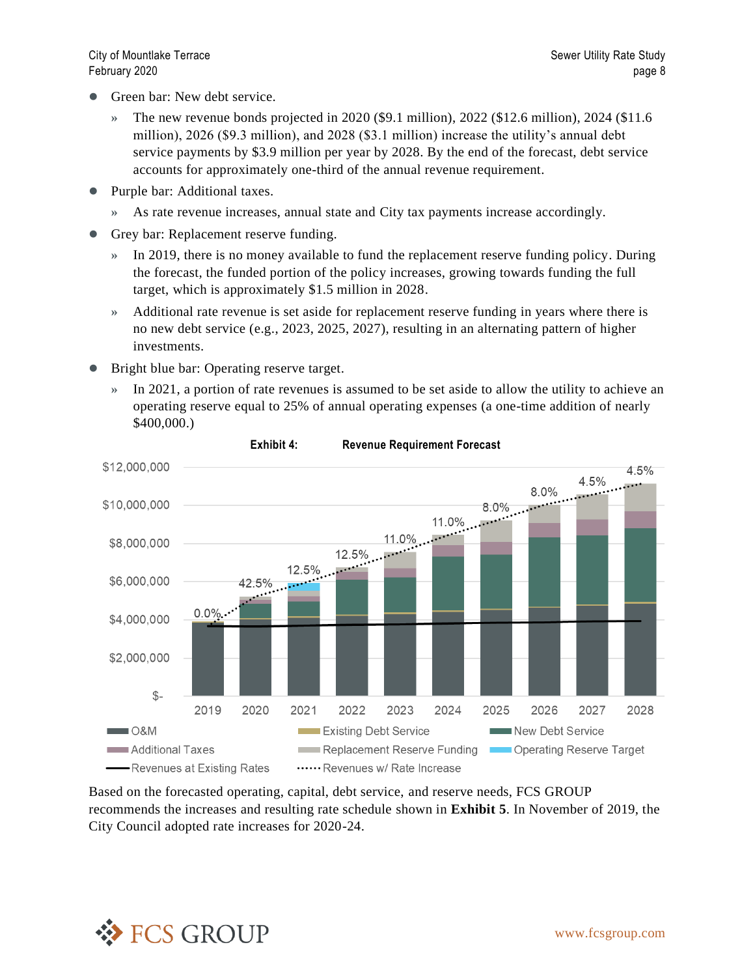City of Mountlake Terrace **Server City** City of Mountlake Terrace Sewer Utility Rate Study February 2020 page 8

- Green bar: New debt service.
	- **»** The new revenue bonds projected in 2020 (\$9.1 million), 2022 (\$12.6 million), 2024 (\$11.6 million), 2026 (\$9.3 million), and 2028 (\$3.1 million) increase the utility's annual debt service payments by \$3.9 million per year by 2028. By the end of the forecast, debt service accounts for approximately one-third of the annual revenue requirement.
- ⚫ Purple bar: Additional taxes.
	- **»** As rate revenue increases, annual state and City tax payments increase accordingly.
- ⚫ Grey bar: Replacement reserve funding.
	- **»** In 2019, there is no money available to fund the replacement reserve funding policy. During the forecast, the funded portion of the policy increases, growing towards funding the full target, which is approximately \$1.5 million in 2028.
	- **»** Additional rate revenue is set aside for replacement reserve funding in years where there is no new debt service (e.g., 2023, 2025, 2027), resulting in an alternating pattern of higher investments.
- Bright blue bar: Operating reserve target.
	- **»** In 2021, a portion of rate revenues is assumed to be set aside to allow the utility to achieve an operating reserve equal to 25% of annual operating expenses (a one-time addition of nearly \$400,000.)



**Exhibit 4: Revenue Requirement Forecast**

Based on the forecasted operating, capital, debt service, and reserve needs, FCS GROUP recommends the increases and resulting rate schedule shown in **Exhibit 5**. In November of 2019, the City Council adopted rate increases for 2020-24.

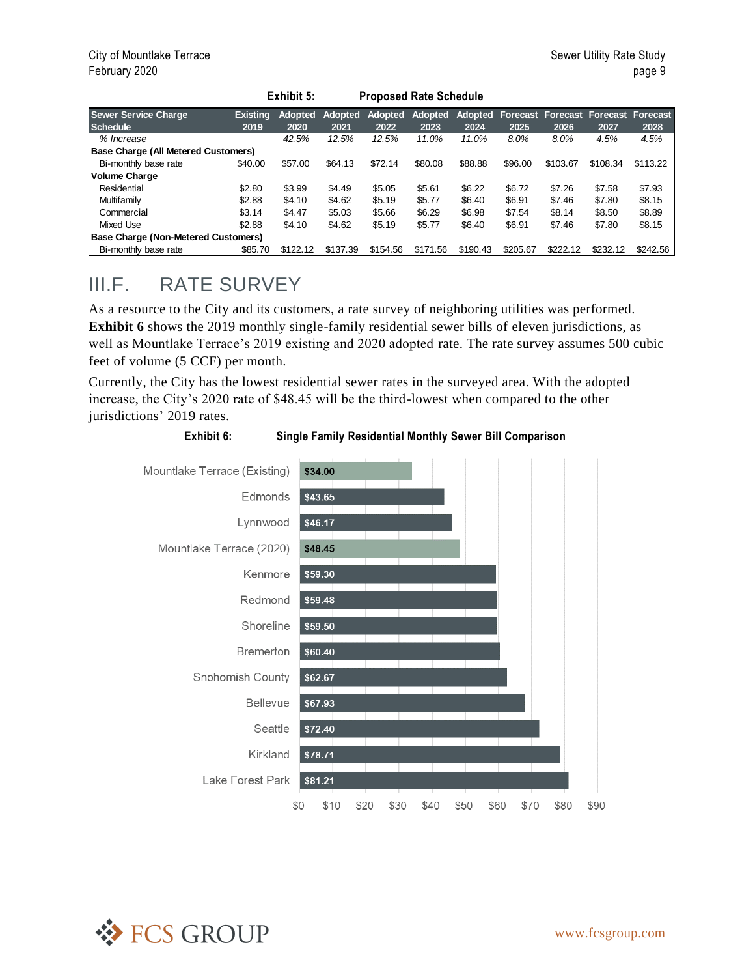|                                     |                 | EXIIIDIL 3. |                |          | Proposed Rate Schedule |                |          |                                            |          |          |
|-------------------------------------|-----------------|-------------|----------------|----------|------------------------|----------------|----------|--------------------------------------------|----------|----------|
| Sewer Service Charge                | <b>Existing</b> | Adopted     | <b>Adopted</b> | Adopted  | Adopted                | <b>Adopted</b> |          | <b>Forecast Forecast Forecast Forecast</b> |          |          |
| <b>Schedule</b>                     | 2019            | 2020        | 2021           | 2022     | 2023                   | 2024           | 2025     | 2026                                       | 2027     | 2028     |
| % Increase                          |                 | 42.5%       | 12.5%          | 12.5%    | 11.0%                  | 11.0%          | 8.0%     | 8.0%                                       | 4.5%     | 4.5%     |
| Base Charge (All Metered Customers) |                 |             |                |          |                        |                |          |                                            |          |          |
| Bi-monthly base rate                | \$40.00         | \$57.00     | \$64.13        | \$72.14  | \$80.08                | \$88.88        | \$96.00  | \$103.67                                   | \$108.34 | \$113.22 |
| <b>Volume Charge</b>                |                 |             |                |          |                        |                |          |                                            |          |          |
| Residential                         | \$2.80          | \$3.99      | \$4.49         | \$5.05   | \$5.61                 | \$6.22         | \$6.72   | \$7.26                                     | \$7.58   | \$7.93   |
| Multifamily                         | \$2.88          | \$4.10      | \$4.62         | \$5.19   | \$5.77                 | \$6.40         | \$6.91   | \$7.46                                     | \$7.80   | \$8.15   |
| Commercial                          | \$3.14          | \$4.47      | \$5.03         | \$5.66   | \$6.29                 | \$6.98         | \$7.54   | \$8.14                                     | \$8.50   | \$8.89   |
| Mixed Use                           | \$2.88          | \$4.10      | \$4.62         | \$5.19   | \$5.77                 | \$6.40         | \$6.91   | \$7.46                                     | \$7.80   | \$8.15   |
| Base Charge (Non-Metered Customers) |                 |             |                |          |                        |                |          |                                            |          |          |
| Bi-monthly base rate                | \$85.70         | \$122.12    | \$137.39       | \$154.56 | \$171.56               | \$190.43       | \$205.67 | \$222.12                                   | \$232.12 | \$242.56 |

**Exhibit 5: Proposed Rate Schedule**

## <span id="page-11-0"></span>III.F. RATE SURVEY

As a resource to the City and its customers, a rate survey of neighboring utilities was performed. **Exhibit 6** shows the 2019 monthly single-family residential sewer bills of eleven jurisdictions, as well as Mountlake Terrace's 2019 existing and 2020 adopted rate. The rate survey assumes 500 cubic feet of volume (5 CCF) per month.

Currently, the City has the lowest residential sewer rates in the surveyed area. With the adopted increase, the City's 2020 rate of \$48.45 will be the third-lowest when compared to the other jurisdictions' 2019 rates.





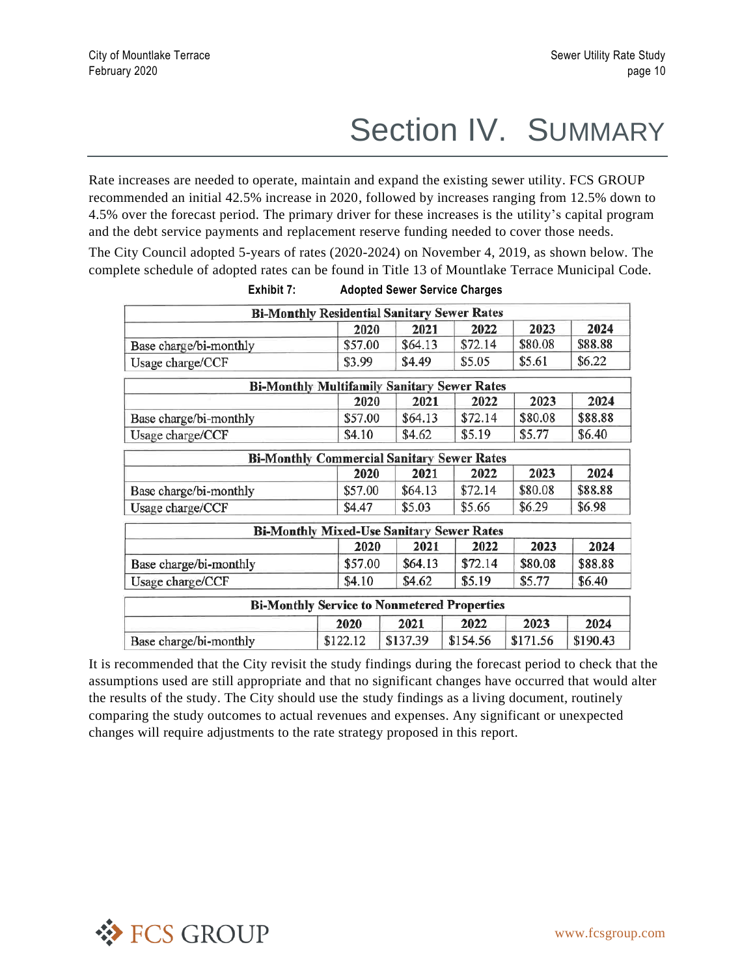# Section IV. SUMMARY

<span id="page-12-0"></span>Rate increases are needed to operate, maintain and expand the existing sewer utility. FCS GROUP recommended an initial 42.5% increase in 2020, followed by increases ranging from 12.5% down to 4.5% over the forecast period. The primary driver for these increases is the utility's capital program and the debt service payments and replacement reserve funding needed to cover those needs.

The City Council adopted 5-years of rates (2020-2024) on November 4, 2019, as shown below. The complete schedule of adopted rates can be found in Title 13 of Mountlake Terrace Municipal Code.

|                                                                                           |  |          |          | <b>Bi-Monthly Residential Sanitary Sewer Rates</b> |          |          |  |  |  |  |  |
|-------------------------------------------------------------------------------------------|--|----------|----------|----------------------------------------------------|----------|----------|--|--|--|--|--|
|                                                                                           |  | 2020     | 2021     | 2022                                               | 2023     | 2024     |  |  |  |  |  |
| Base charge/bi-monthly                                                                    |  | \$57.00  | \$64.13  | \$72.14                                            | \$80.08  | \$88.88  |  |  |  |  |  |
| Usage charge/CCF                                                                          |  | \$3.99   | \$4.49   | \$5.05                                             | \$5.61   | \$6.22   |  |  |  |  |  |
|                                                                                           |  |          |          | <b>Bi-Monthly Multifamily Sanitary Sewer Rates</b> |          |          |  |  |  |  |  |
| 2023<br>2024<br>2022<br>2020<br>2021                                                      |  |          |          |                                                    |          |          |  |  |  |  |  |
| Base charge/bi-monthly                                                                    |  | \$57.00  | \$64.13  | \$72.14                                            | \$80.08  | \$88.88  |  |  |  |  |  |
| Usage charge/CCF                                                                          |  | \$4.10   | \$4.62   | \$5.19                                             | \$5.77   | \$6.40   |  |  |  |  |  |
|                                                                                           |  |          |          |                                                    |          |          |  |  |  |  |  |
| <b>Bi-Monthly Commercial Sanitary Sewer Rates</b><br>2024<br>2023<br>2021<br>2020<br>2022 |  |          |          |                                                    |          |          |  |  |  |  |  |
| Base charge/bi-monthly                                                                    |  | \$57.00  | \$64.13  | \$72.14                                            | \$80.08  | \$88.88  |  |  |  |  |  |
| Usage charge/CCF                                                                          |  | \$4.47   | \$5.03   | \$5.66                                             | \$6.29   | \$6.98   |  |  |  |  |  |
|                                                                                           |  |          |          | <b>Bi-Monthly Mixed-Use Sanitary Sewer Rates</b>   |          |          |  |  |  |  |  |
|                                                                                           |  | 2020     | 2021     | 2022                                               | 2023     | 2024     |  |  |  |  |  |
| Base charge/bi-monthly                                                                    |  | \$57.00  | \$64.13  | \$72.14                                            | \$80.08  | \$88.88  |  |  |  |  |  |
| Usage charge/CCF                                                                          |  | \$4.10   | \$4.62   | \$5.19                                             | \$5.77   | \$6.40   |  |  |  |  |  |
|                                                                                           |  |          |          | <b>Bi-Monthly Service to Nonmetered Properties</b> |          |          |  |  |  |  |  |
|                                                                                           |  | 2020     | 2021     | 2022                                               | 2023     | 2024     |  |  |  |  |  |
| Base charge/bi-monthly                                                                    |  | \$122.12 | \$137.39 | \$154.56                                           | \$171.56 | \$190.43 |  |  |  |  |  |

**Exhibit 7: Adopted Sewer Service Charges**

It is recommended that the City revisit the study findings during the forecast period to check that the assumptions used are still appropriate and that no significant changes have occurred that would alter the results of the study. The City should use the study findings as a living document, routinely comparing the study outcomes to actual revenues and expenses. Any significant or unexpected changes will require adjustments to the rate strategy proposed in this report.